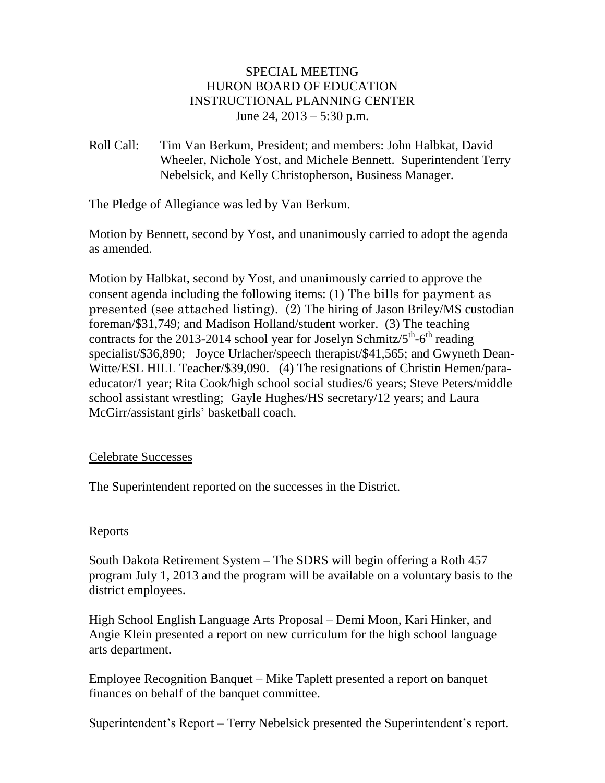## SPECIAL MEETING HURON BOARD OF EDUCATION INSTRUCTIONAL PLANNING CENTER June 24,  $2013 - 5:30$  p.m.

Roll Call: Tim Van Berkum, President; and members: John Halbkat, David Wheeler, Nichole Yost, and Michele Bennett. Superintendent Terry Nebelsick, and Kelly Christopherson, Business Manager.

The Pledge of Allegiance was led by Van Berkum.

Motion by Bennett, second by Yost, and unanimously carried to adopt the agenda as amended.

Motion by Halbkat, second by Yost, and unanimously carried to approve the consent agenda including the following items: (1) The bills for payment as presented (see attached listing). (2) The hiring of Jason Briley/MS custodian foreman/\$31,749; and Madison Holland/student worker. (3) The teaching contracts for the 2013-2014 school year for Joselyn Schmitz/ $5^{th}$ - $6^{th}$  reading specialist/\$36,890; Joyce Urlacher/speech therapist/\$41,565; and Gwyneth Dean-Witte/ESL HILL Teacher/\$39,090. (4) The resignations of Christin Hemen/paraeducator/1 year; Rita Cook/high school social studies/6 years; Steve Peters/middle school assistant wrestling; Gayle Hughes/HS secretary/12 years; and Laura McGirr/assistant girls' basketball coach.

## Celebrate Successes

The Superintendent reported on the successes in the District.

## **Reports**

South Dakota Retirement System – The SDRS will begin offering a Roth 457 program July 1, 2013 and the program will be available on a voluntary basis to the district employees.

High School English Language Arts Proposal – Demi Moon, Kari Hinker, and Angie Klein presented a report on new curriculum for the high school language arts department.

Employee Recognition Banquet – Mike Taplett presented a report on banquet finances on behalf of the banquet committee.

Superintendent's Report – Terry Nebelsick presented the Superintendent's report.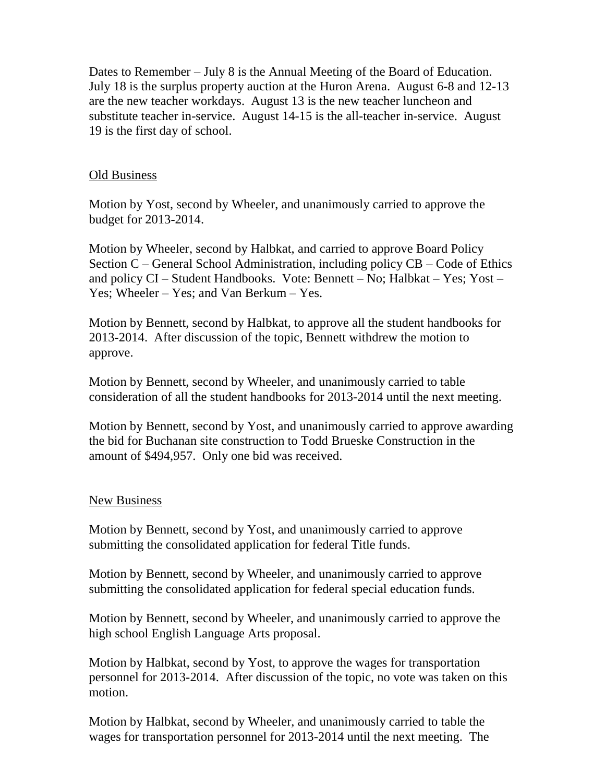Dates to Remember – July 8 is the Annual Meeting of the Board of Education. July 18 is the surplus property auction at the Huron Arena. August 6-8 and 12-13 are the new teacher workdays. August 13 is the new teacher luncheon and substitute teacher in-service. August 14-15 is the all-teacher in-service. August 19 is the first day of school.

### Old Business

Motion by Yost, second by Wheeler, and unanimously carried to approve the budget for 2013-2014.

Motion by Wheeler, second by Halbkat, and carried to approve Board Policy Section C – General School Administration, including policy CB – Code of Ethics and policy CI – Student Handbooks. Vote: Bennett – No; Halbkat – Yes; Yost – Yes; Wheeler – Yes; and Van Berkum – Yes.

Motion by Bennett, second by Halbkat, to approve all the student handbooks for 2013-2014. After discussion of the topic, Bennett withdrew the motion to approve.

Motion by Bennett, second by Wheeler, and unanimously carried to table consideration of all the student handbooks for 2013-2014 until the next meeting.

Motion by Bennett, second by Yost, and unanimously carried to approve awarding the bid for Buchanan site construction to Todd Brueske Construction in the amount of \$494,957. Only one bid was received.

#### New Business

Motion by Bennett, second by Yost, and unanimously carried to approve submitting the consolidated application for federal Title funds.

Motion by Bennett, second by Wheeler, and unanimously carried to approve submitting the consolidated application for federal special education funds.

Motion by Bennett, second by Wheeler, and unanimously carried to approve the high school English Language Arts proposal.

Motion by Halbkat, second by Yost, to approve the wages for transportation personnel for 2013-2014. After discussion of the topic, no vote was taken on this motion.

Motion by Halbkat, second by Wheeler, and unanimously carried to table the wages for transportation personnel for 2013-2014 until the next meeting. The